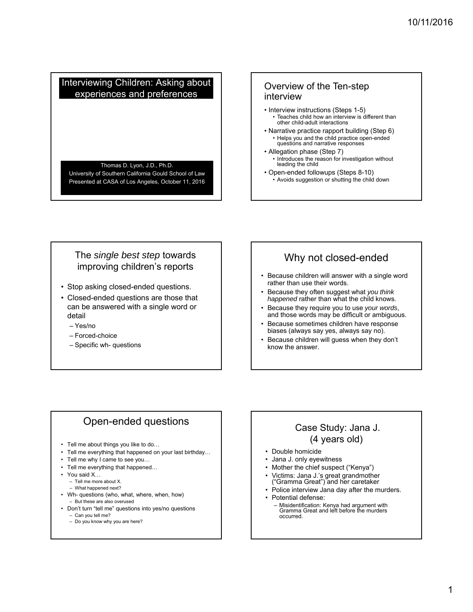### Interviewing Children: Asking about experiences and preferences

#### Thomas D. Lyon, J.D., Ph.D.

University of Southern California Gould School of Law Presented at CASA of Los Angeles, October 11, 2016

### Overview of the Ten-step interview

- Interview instructions (Steps 1-5)
	- Teaches child how an interview is different than other child-adult interactions
- Narrative practice rapport building (Step 6) • Helps you and the child practice open-ended questions and narrative responses
- Allegation phase (Step 7) Introduces the reason for investigation without leading the child
- Open-ended followups (Steps 8-10)
	- Avoids suggestion or shutting the child down

### The *single best step* towards improving children's reports

- Stop asking closed-ended questions.
- Closed-ended questions are those that can be answered with a single word or detail
	- Yes/no
	- Forced-choice
	- Specific wh- questions

# Why not closed-ended

- Because children will answer with a single word rather than use their words.
- Because they often suggest what *you think happened* rather than what the child knows.
- Because they require you to use *your words*, and those words may be difficult or ambiguous.
- Because sometimes children have response biases (always say yes, always say no).
- Because children will guess when they don't know the answer.

## Open-ended questions

- Tell me about things you like to do…
- Tell me everything that happened on your last birthday...
- Tell me why I came to see you…
- Tell me everything that happened…
- You said X…
	- Tell me more about X.
	- What happened next?
- Wh- questions (who, what, where, when, how) – But these are also overused
- Don't turn "tell me" questions into yes/no questions
	- Can you tell me? – Do you know why you are here?

# Case Study: Jana J. (4 years old)

- Double homicide
- Jana J. only eyewitness
- Mother the chief suspect ("Kenya") • Victims: Jana J.'s great grandmother
- ("Gramma Great") and her caretaker
- Police interview Jana day after the murders.
- Potential defense: – Misidentification: Kenya had argument with Gramma Great and left before the murders occurred.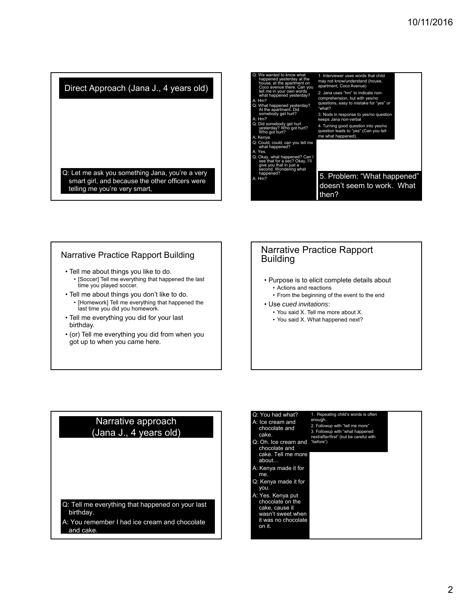Direct Approach (Jana J., 4 years old)

Q: Let me ask you something Jana, you're a very smart girl, and because the other officers were telling me you're very smart,



#### Narrative Practice Rapport Building

- Tell me about things you like to do. [Soccer] Tell me everything that happened the last time you played soccer.
- Tell me about things you don't like to do. • [Homework] Tell me everything that happened the last time you did you homework.
- Tell me everything you did for your last birthday.
- (or) Tell me everything you did from when you got up to when you came here.

#### Narrative Practice Rapport Building

- Purpose is to elicit complete details about • Actions and reactions
	- From the beginning of the event to the end
- Use *cued invitations*:
- You said X. Tell me more about X.
- You said X. What happened next?

### Narrative approach (Jana J., 4 years old)

Q: Tell me everything that happened on your last birthday.

A: You remember I had ice cream and chocolate and cake.

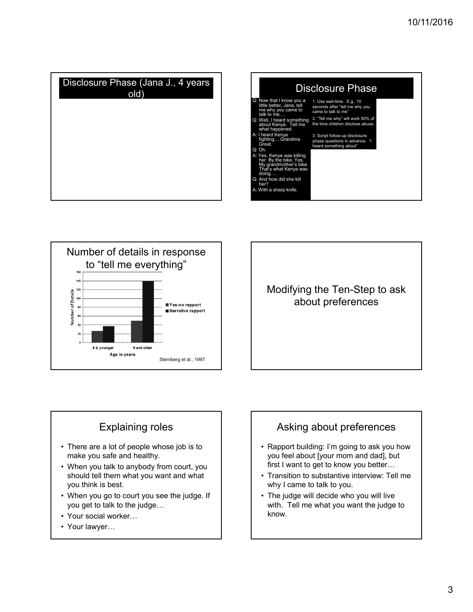





# Explaining roles

- There are a lot of people whose job is to make you safe and healthy.
- When you talk to anybody from court, you should tell them what you want and what you think is best.
- When you go to court you see the judge. If you get to talk to the judge…
- Your social worker…
- Your lawyer…

# Asking about preferences

- Rapport building: I'm going to ask you how you feel about [your mom and dad], but first I want to get to know you better…
- Transition to substantive interview: Tell me why I came to talk to you.
- The judge will decide who you will live with. Tell me what you want the judge to know.